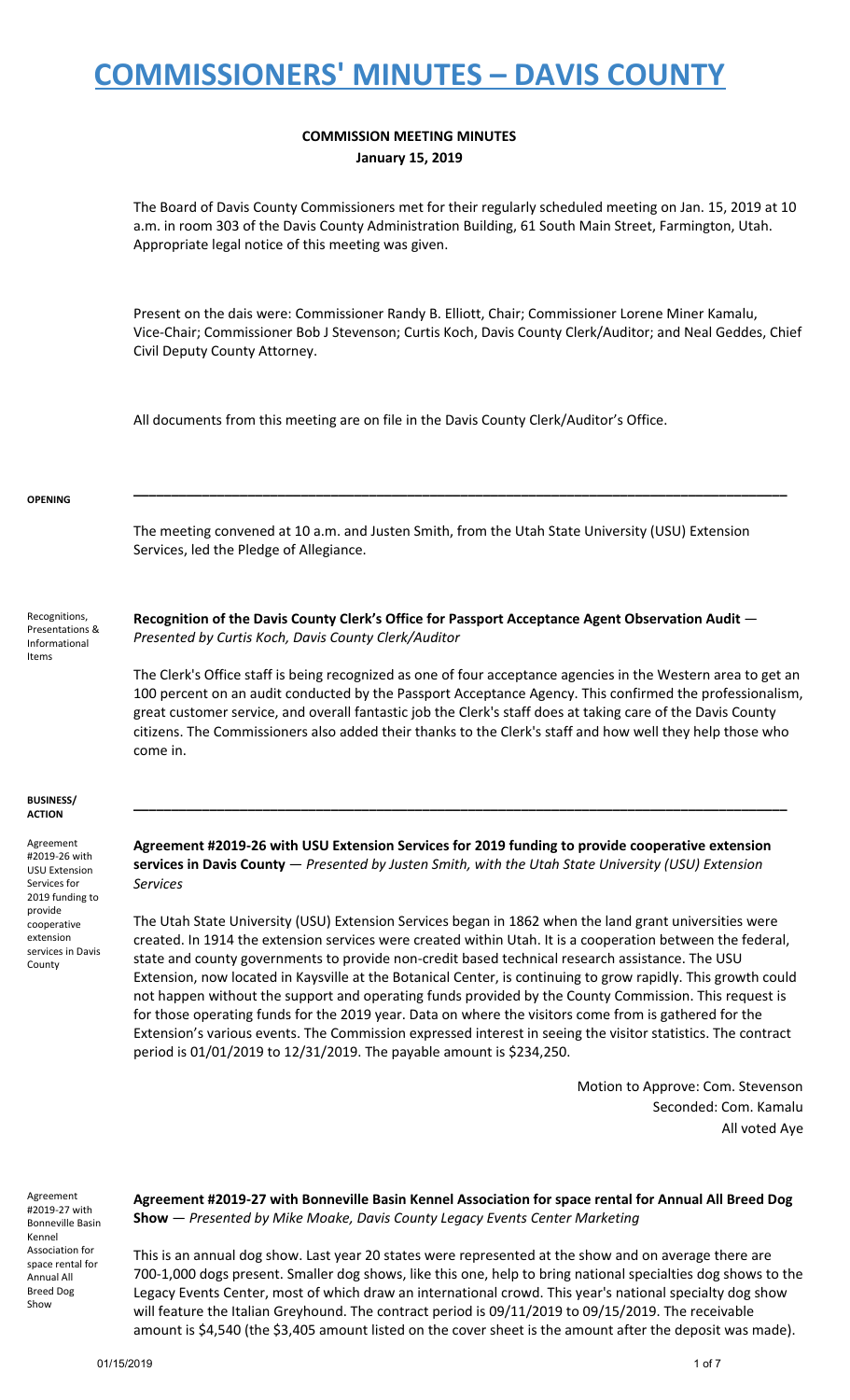#### **COMMISSION MEETING MINUTES January 15, 2019**

The Board of Davis County Commissioners met for their regularly scheduled meeting on Jan. 15, 2019 at 10 a.m. in room 303 of the Davis County Administration Building, 61 South Main Street, Farmington, Utah. Appropriate legal notice of this meeting was given.

Present on the dais were: Commissioner Randy B. Elliott, Chair; Commissioner Lorene Miner Kamalu, Vice-Chair; Commissioner Bob J Stevenson; Curtis Koch, Davis County Clerk/Auditor; and Neal Geddes, Chief Civil Deputy County Attorney.

All documents from this meeting are on file in the Davis County Clerk/Auditor's Office.

#### **OPENING**

The meeting convened at 10 a.m. and Justen Smith, from the Utah State University (USU) Extension Services, led the Pledge of Allegiance.

**\_\_\_\_\_\_\_\_\_\_\_\_\_\_\_\_\_\_\_\_\_\_\_\_\_\_\_\_\_\_\_\_\_\_\_\_\_\_\_\_\_\_\_\_\_\_\_\_\_\_\_\_\_\_\_\_\_\_\_\_\_\_\_\_\_\_\_\_\_\_\_\_\_\_\_\_\_\_\_\_\_\_\_\_\_\_**

Recognitions, Presentations & Informational Items

**Recognition of the Davis County Clerk's Office for Passport Acceptance Agent Observation Audit** — *Presented by Curtis Koch, Davis County Clerk/Auditor*

The Clerk's Office staff is being recognized as one of four acceptance agencies in the Western area to get an 100 percent on an audit conducted by the Passport Acceptance Agency. This confirmed the professionalism, great customer service, and overall fantastic job the Clerk's staff does at taking care of the Davis County citizens. The Commissioners also added their thanks to the Clerk's staff and how well they help those who come in.

#### **BUSINESS/ ACTION**

Agreement #2019-26 with USU Extension Services for 2019 funding to provide cooperative extension services in Davis County

**Agreement #2019-26 with USU Extension Services for 2019 funding to provide cooperative extension services in Davis County** — *Presented by Justen Smith, with the Utah State University (USU) Extension Services*

**\_\_\_\_\_\_\_\_\_\_\_\_\_\_\_\_\_\_\_\_\_\_\_\_\_\_\_\_\_\_\_\_\_\_\_\_\_\_\_\_\_\_\_\_\_\_\_\_\_\_\_\_\_\_\_\_\_\_\_\_\_\_\_\_\_\_\_\_\_\_\_\_\_\_\_\_\_\_\_\_\_\_\_\_\_\_**

The Utah State University (USU) Extension Services began in 1862 when the land grant universities were created. In 1914 the extension services were created within Utah. It is a cooperation between the federal, state and county governments to provide non-credit based technical research assistance. The USU Extension, now located in Kaysville at the Botanical Center, is continuing to grow rapidly. This growth could not happen without the support and operating funds provided by the County Commission. This request is for those operating funds for the 2019 year. Data on where the visitors come from is gathered for the Extension's various events. The Commission expressed interest in seeing the visitor statistics. The contract period is 01/01/2019 to 12/31/2019. The payable amount is \$234,250.

> Motion to Approve: Com. Stevenson Seconded: Com. Kamalu All voted Aye

Agreement #2019-27 with Bonneville Basin Kennel Association for space rental for Annual All Breed Dog Show

**Agreement #2019-27 with Bonneville Basin Kennel Association for space rental for Annual All Breed Dog Show** — *Presented by Mike Moake, Davis County Legacy Events Center Marketing*

This is an annual dog show. Last year 20 states were represented at the show and on average there are 700-1,000 dogs present. Smaller dog shows, like this one, help to bring national specialties dog shows to the Legacy Events Center, most of which draw an international crowd. This year's national specialty dog show will feature the Italian Greyhound. The contract period is 09/11/2019 to 09/15/2019. The receivable amount is \$4,540 (the \$3,405 amount listed on the cover sheet is the amount after the deposit was made).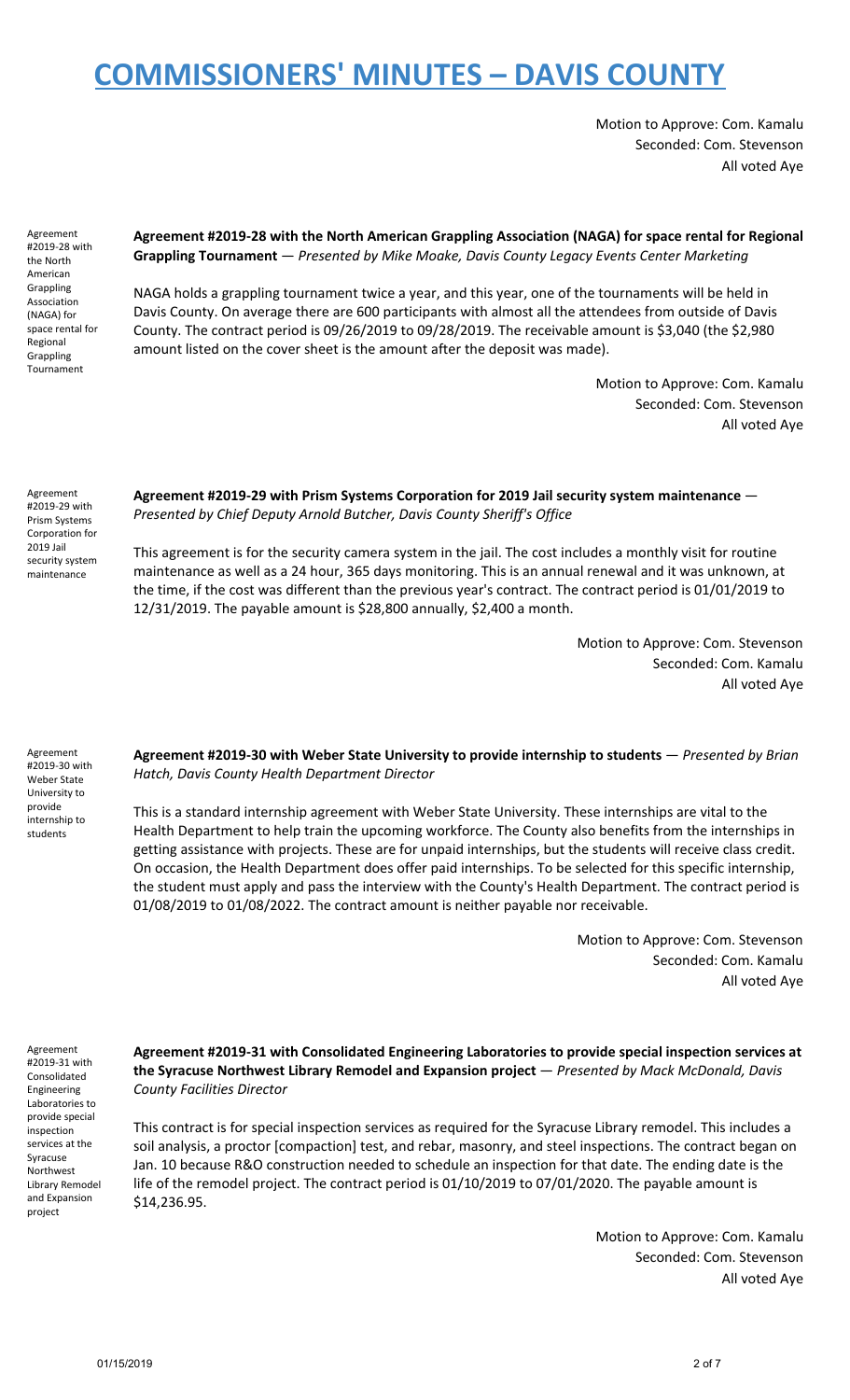Motion to Approve: Com. Kamalu Seconded: Com. Stevenson All voted Aye

Agreement #2019-28 with the North American Grappling Association (NAGA) for space rental for Regional **Grappling** Tournament

**Agreement #2019-28 with the North American Grappling Association (NAGA) for space rental for Regional Grappling Tournament** — *Presented by Mike Moake, Davis County Legacy Events Center Marketing*

NAGA holds a grappling tournament twice a year, and this year, one of the tournaments will be held in Davis County. On average there are 600 participants with almost all the attendees from outside of Davis County. The contract period is 09/26/2019 to 09/28/2019. The receivable amount is \$3,040 (the \$2,980 amount listed on the cover sheet is the amount after the deposit was made).

> Motion to Approve: Com. Kamalu Seconded: Com. Stevenson All voted Aye

Agreement #2019-29 with Prism Systems Corporation for 2019 Jail security system maintenance

**Agreement #2019-29 with Prism Systems Corporation for 2019 Jail security system maintenance** — *Presented by Chief Deputy Arnold Butcher, Davis County Sheriff's Office*

This agreement is for the security camera system in the jail. The cost includes a monthly visit for routine maintenance as well as a 24 hour, 365 days monitoring. This is an annual renewal and it was unknown, at the time, if the cost was different than the previous year's contract. The contract period is 01/01/2019 to 12/31/2019. The payable amount is \$28,800 annually, \$2,400 a month.

> Motion to Approve: Com. Stevenson Seconded: Com. Kamalu All voted Aye

Agreement #2019-30 with Weber State University to provide internship to students

**Agreement #2019-30 with Weber State University to provide internship to students** — *Presented by Brian Hatch, Davis County Health Department Director*

This is a standard internship agreement with Weber State University. These internships are vital to the Health Department to help train the upcoming workforce. The County also benefits from the internships in getting assistance with projects. These are for unpaid internships, but the students will receive class credit. On occasion, the Health Department does offer paid internships. To be selected for this specific internship, the student must apply and pass the interview with the County's Health Department. The contract period is 01/08/2019 to 01/08/2022. The contract amount is neither payable nor receivable.

> Motion to Approve: Com. Stevenson Seconded: Com. Kamalu All voted Aye

Agreement #2019-31 with Consolidated Engineering Laboratories to provide special inspection services at the Syracuse Northwest Library Remodel and Expansion project

**Agreement #2019-31 with Consolidated Engineering Laboratories to provide special inspection services at the Syracuse Northwest Library Remodel and Expansion project** — *Presented by Mack McDonald, Davis County Facilities Director*

This contract is for special inspection services as required for the Syracuse Library remodel. This includes a soil analysis, a proctor [compaction] test, and rebar, masonry, and steel inspections. The contract began on Jan. 10 because R&O construction needed to schedule an inspection for that date. The ending date is the life of the remodel project. The contract period is 01/10/2019 to 07/01/2020. The payable amount is \$14,236.95.

> Motion to Approve: Com. Kamalu Seconded: Com. Stevenson All voted Aye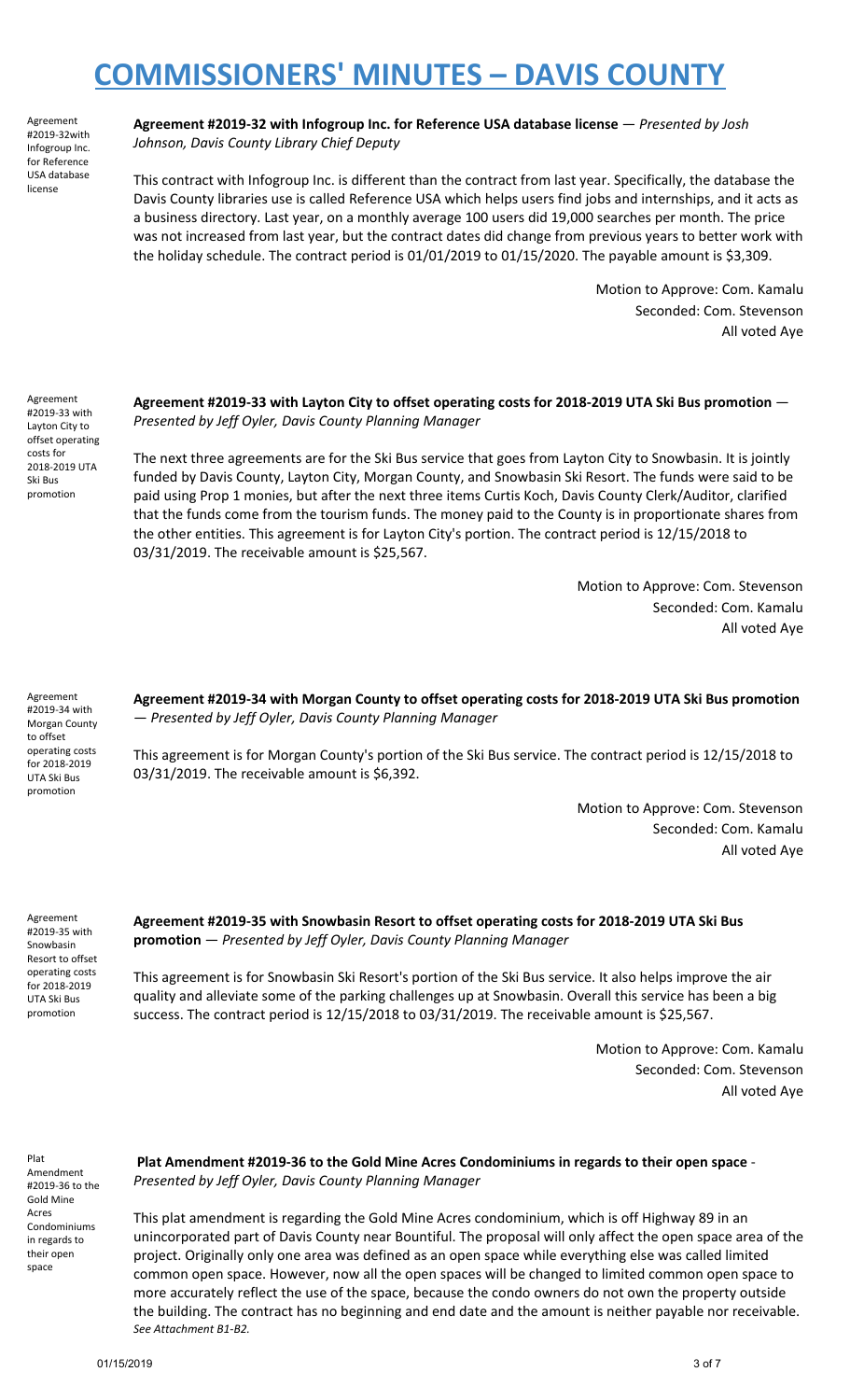Agreement #2019-32with Infogroup Inc. for Reference USA database license

**Agreement #2019-32 with Infogroup Inc. for Reference USA database license** — *Presented by Josh Johnson, Davis County Library Chief Deputy*

This contract with Infogroup Inc. is different than the contract from last year. Specifically, the database the Davis County libraries use is called Reference USA which helps users find jobs and internships, and it acts as a business directory. Last year, on a monthly average 100 users did 19,000 searches per month. The price was not increased from last year, but the contract dates did change from previous years to better work with the holiday schedule. The contract period is 01/01/2019 to 01/15/2020. The payable amount is \$3,309.

> Motion to Approve: Com. Kamalu Seconded: Com. Stevenson All voted Aye

Agreement #2019-33 with Layton City to offset operating costs for 2018-2019 UTA Ski Bus promotion

Agreement #2019-34 with Morgan County to offset operating costs for 2018-2019 UTA Ski Bus promotion

**Agreement #2019-33 with Layton City to offset operating costs for 2018-2019 UTA Ski Bus promotion** — *Presented by Jeff Oyler, Davis County Planning Manager*

The next three agreements are for the Ski Bus service that goes from Layton City to Snowbasin. It is jointly funded by Davis County, Layton City, Morgan County, and Snowbasin Ski Resort. The funds were said to be paid using Prop 1 monies, but after the next three items Curtis Koch, Davis County Clerk/Auditor, clarified that the funds come from the tourism funds. The money paid to the County is in proportionate shares from the other entities. This agreement is for Layton City's portion. The contract period is 12/15/2018 to 03/31/2019. The receivable amount is \$25,567.

> Motion to Approve: Com. Stevenson Seconded: Com. Kamalu All voted Aye

**Agreement #2019-34 with Morgan County to offset operating costs for 2018-2019 UTA Ski Bus promotion** — *Presented by Jeff Oyler, Davis County Planning Manager*

This agreement is for Morgan County's portion of the Ski Bus service. The contract period is 12/15/2018 to 03/31/2019. The receivable amount is \$6,392.

> Motion to Approve: Com. Stevenson Seconded: Com. Kamalu All voted Aye

Agreement #2019-35 with Snowbasin Resort to offset operating costs for 2018-2019 UTA Ski Bus promotion

**Agreement #2019-35 with Snowbasin Resort to offset operating costs for 2018-2019 UTA Ski Bus promotion** — *Presented by Jeff Oyler, Davis County Planning Manager*

This agreement is for Snowbasin Ski Resort's portion of the Ski Bus service. It also helps improve the air quality and alleviate some of the parking challenges up at Snowbasin. Overall this service has been a big success. The contract period is 12/15/2018 to 03/31/2019. The receivable amount is \$25,567.

> Motion to Approve: Com. Kamalu Seconded: Com. Stevenson All voted Aye

Plat Amendment #2019-36 to the Gold Mine Acres Condominiums in regards to their open space

**Plat Amendment #2019-36 to the Gold Mine Acres Condominiums in regards to their open space** - *Presented by Jeff Oyler, Davis County Planning Manager*

This plat amendment is regarding the Gold Mine Acres condominium, which is off Highway 89 in an unincorporated part of Davis County near Bountiful. The proposal will only affect the open space area of the project. Originally only one area was defined as an open space while everything else was called limited common open space. However, now all the open spaces will be changed to limited common open space to more accurately reflect the use of the space, because the condo owners do not own the property outside the building. The contract has no beginning and end date and the amount is neither payable nor receivable. *See Attachment B1-B2.*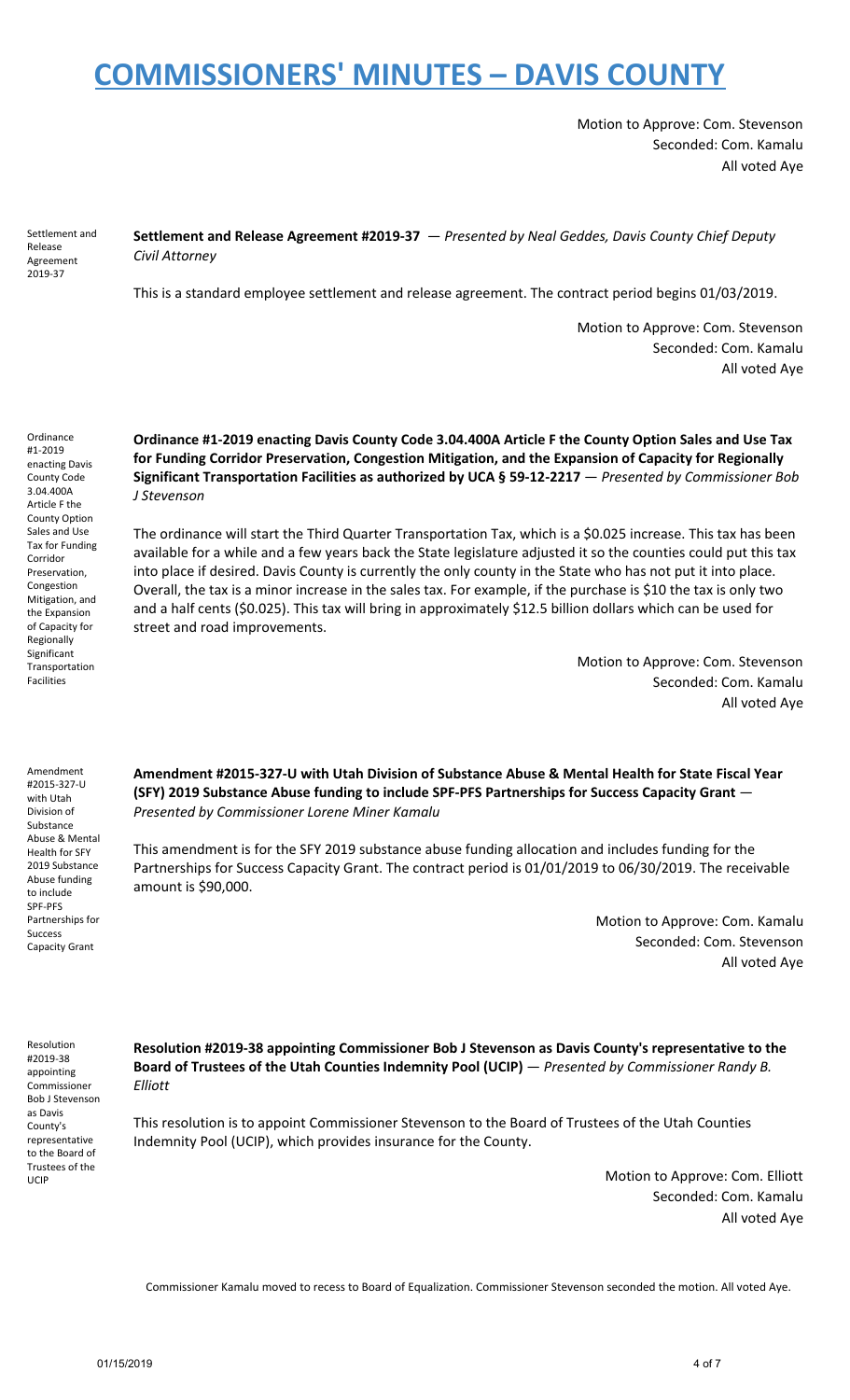Motion to Approve: Com. Stevenson Seconded: Com. Kamalu All voted Aye

Settlement and Release Agreement 2019-37

**Settlement and Release Agreement #2019-37** — *Presented by Neal Geddes, Davis County Chief Deputy Civil Attorney*

This is a standard employee settlement and release agreement. The contract period begins 01/03/2019.

Motion to Approve: Com. Stevenson Seconded: Com. Kamalu All voted Aye

Ordinance #1-2019 enacting Davis County Code 3.04.400A Article F the County Option Sales and Use Tax for Funding Corridor Preservation, Congestion Mitigation, and the Expansion of Capacity for Regionally Significant Transportation Facilities

**Ordinance #1-2019 enacting Davis County Code 3.04.400A Article F the County Option Sales and Use Tax for Funding Corridor Preservation, Congestion Mitigation, and the Expansion of Capacity for Regionally Significant Transportation Facilities as authorized by UCA § 59-12-2217** — *Presented by Commissioner Bob J Stevenson*

The ordinance will start the Third Quarter Transportation Tax, which is a \$0.025 increase. This tax has been available for a while and a few years back the State legislature adjusted it so the counties could put this tax into place if desired. Davis County is currently the only county in the State who has not put it into place. Overall, the tax is a minor increase in the sales tax. For example, if the purchase is \$10 the tax is only two and a half cents (\$0.025). This tax will bring in approximately \$12.5 billion dollars which can be used for street and road improvements.

> Motion to Approve: Com. Stevenson Seconded: Com. Kamalu All voted Aye

Amendment #2015-327-U with Utah Division of Substance Abuse & Mental Health for SFY 2019 Substance Abuse funding to include SPF-PFS Partnerships for Success Capacity Grant

**Amendment #2015-327-U with Utah Division of Substance Abuse & Mental Health for State Fiscal Year (SFY) 2019 Substance Abuse funding to include SPF-PFS Partnerships for Success Capacity Grant** — *Presented by Commissioner Lorene Miner Kamalu*

This amendment is for the SFY 2019 substance abuse funding allocation and includes funding for the Partnerships for Success Capacity Grant. The contract period is 01/01/2019 to 06/30/2019. The receivable amount is \$90,000.

> Motion to Approve: Com. Kamalu Seconded: Com. Stevenson All voted Aye

Resolution #2019-38 appointing Commissioner Bob J Stevenson as Davis County's representative to the Board of Trustees of the UCIP

**Resolution #2019-38 appointing Commissioner Bob J Stevenson as Davis County's representative to the Board of Trustees of the Utah Counties Indemnity Pool (UCIP)** — *Presented by Commissioner Randy B. Elliott*

This resolution is to appoint Commissioner Stevenson to the Board of Trustees of the Utah Counties Indemnity Pool (UCIP), which provides insurance for the County.

> Motion to Approve: Com. Elliott Seconded: Com. Kamalu All voted Aye

Commissioner Kamalu moved to recess to Board of Equalization. Commissioner Stevenson seconded the motion. All voted Aye.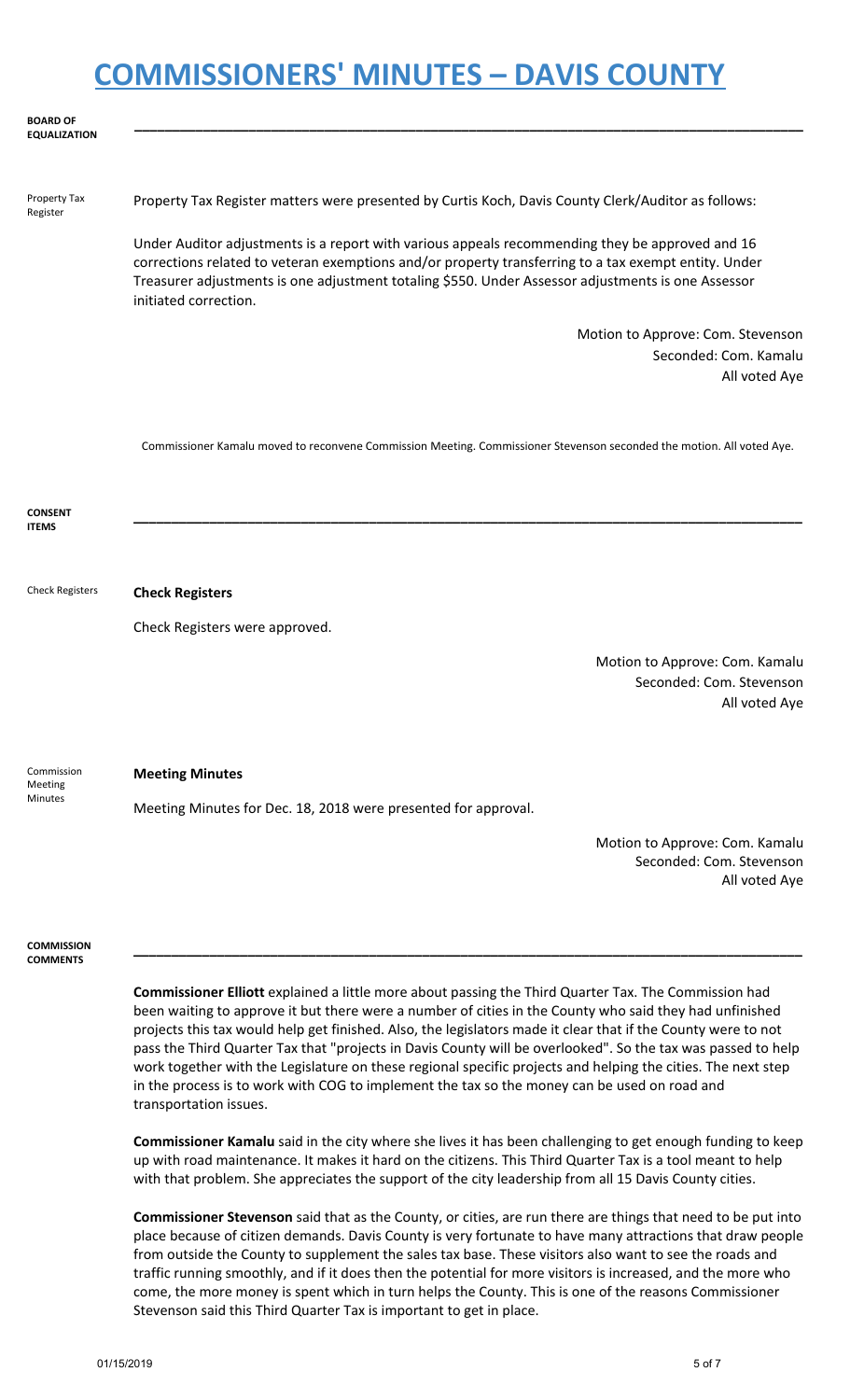| <b>BOARD OF</b><br><b>EQUALIZATION</b>  |                                                                                                                                                                                                                                                                                                                                        |
|-----------------------------------------|----------------------------------------------------------------------------------------------------------------------------------------------------------------------------------------------------------------------------------------------------------------------------------------------------------------------------------------|
| Property Tax<br>Register                | Property Tax Register matters were presented by Curtis Koch, Davis County Clerk/Auditor as follows:                                                                                                                                                                                                                                    |
|                                         | Under Auditor adjustments is a report with various appeals recommending they be approved and 16<br>corrections related to veteran exemptions and/or property transferring to a tax exempt entity. Under<br>Treasurer adjustments is one adjustment totaling \$550. Under Assessor adjustments is one Assessor<br>initiated correction. |
|                                         | Motion to Approve: Com. Stevenson                                                                                                                                                                                                                                                                                                      |
|                                         | Seconded: Com. Kamalu                                                                                                                                                                                                                                                                                                                  |
|                                         | All voted Aye                                                                                                                                                                                                                                                                                                                          |
|                                         | Commissioner Kamalu moved to reconvene Commission Meeting. Commissioner Stevenson seconded the motion. All voted Aye.                                                                                                                                                                                                                  |
| <b>CONSENT</b><br><b>ITEMS</b>          |                                                                                                                                                                                                                                                                                                                                        |
|                                         |                                                                                                                                                                                                                                                                                                                                        |
| <b>Check Registers</b>                  | <b>Check Registers</b>                                                                                                                                                                                                                                                                                                                 |
|                                         | Check Registers were approved.                                                                                                                                                                                                                                                                                                         |
|                                         | Motion to Approve: Com. Kamalu                                                                                                                                                                                                                                                                                                         |
|                                         | Seconded: Com. Stevenson                                                                                                                                                                                                                                                                                                               |
|                                         | All voted Aye                                                                                                                                                                                                                                                                                                                          |
| Commission<br>Meeting<br><b>Minutes</b> | <b>Meeting Minutes</b>                                                                                                                                                                                                                                                                                                                 |
|                                         | Meeting Minutes for Dec. 18, 2018 were presented for approval.                                                                                                                                                                                                                                                                         |
|                                         |                                                                                                                                                                                                                                                                                                                                        |
|                                         | Motion to Approve: Com. Kamalu<br>Seconded: Com. Stevenson<br>All voted Aye                                                                                                                                                                                                                                                            |
|                                         |                                                                                                                                                                                                                                                                                                                                        |
| <b>COMMISSION</b><br><b>COMMENTS</b>    |                                                                                                                                                                                                                                                                                                                                        |
|                                         | Commissioner Elliott explained a little more about passing the Third Quarter Tax The Commission had                                                                                                                                                                                                                                    |

**Commissioner Elliott** explained a little more about passing the Third Quarter Tax. The Commission had been waiting to approve it but there were a number of cities in the County who said they had unfinished projects this tax would help get finished. Also, the legislators made it clear that if the County were to not pass the Third Quarter Tax that "projects in Davis County will be overlooked". So the tax was passed to help work together with the Legislature on these regional specific projects and helping the cities. The next step in the process is to work with COG to implement the tax so the money can be used on road and transportation issues.

**Commissioner Kamalu** said in the city where she lives it has been challenging to get enough funding to keep up with road maintenance. It makes it hard on the citizens. This Third Quarter Tax is a tool meant to help with that problem. She appreciates the support of the city leadership from all 15 Davis County cities.

**Commissioner Stevenson** said that as the County, or cities, are run there are things that need to be put into place because of citizen demands. Davis County is very fortunate to have many attractions that draw people from outside the County to supplement the sales tax base. These visitors also want to see the roads and traffic running smoothly, and if it does then the potential for more visitors is increased, and the more who come, the more money is spent which in turn helps the County. This is one of the reasons Commissioner Stevenson said this Third Quarter Tax is important to get in place.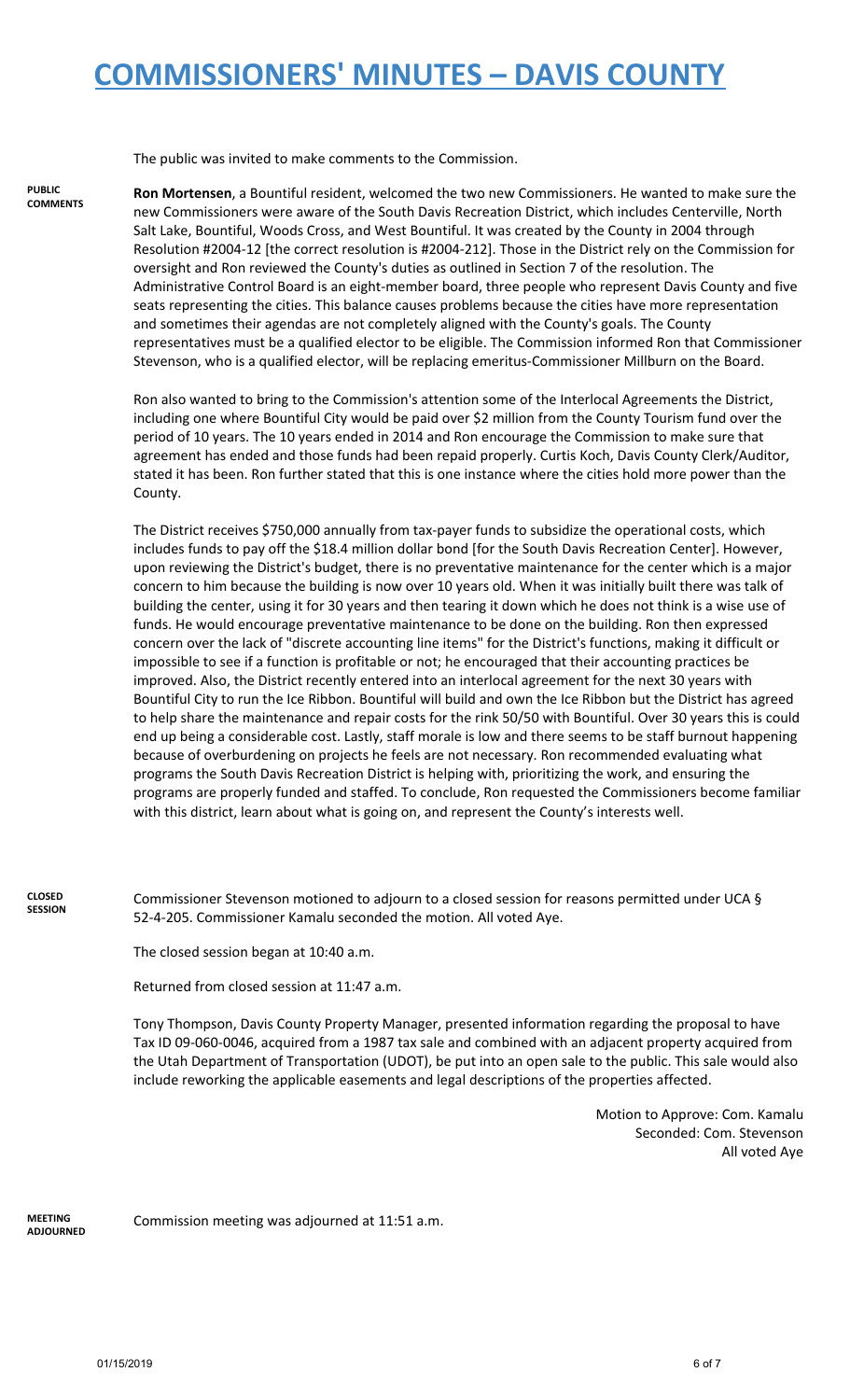The public was invited to make comments to the Commission.

**PUBLIC COMMENTS** **Ron Mortensen**, a Bountiful resident, welcomed the two new Commissioners. He wanted to make sure the new Commissioners were aware of the South Davis Recreation District, which includes Centerville, North Salt Lake, Bountiful, Woods Cross, and West Bountiful. It was created by the County in 2004 through Resolution #2004-12 [the correct resolution is #2004-212]. Those in the District rely on the Commission for oversight and Ron reviewed the County's duties as outlined in Section 7 of the resolution. The Administrative Control Board is an eight-member board, three people who represent Davis County and five seats representing the cities. This balance causes problems because the cities have more representation and sometimes their agendas are not completely aligned with the County's goals. The County representatives must be a qualified elector to be eligible. The Commission informed Ron that Commissioner Stevenson, who is a qualified elector, will be replacing emeritus-Commissioner Millburn on the Board.

Ron also wanted to bring to the Commission's attention some of the Interlocal Agreements the District, including one where Bountiful City would be paid over \$2 million from the County Tourism fund over the period of 10 years. The 10 years ended in 2014 and Ron encourage the Commission to make sure that agreement has ended and those funds had been repaid properly. Curtis Koch, Davis County Clerk/Auditor, stated it has been. Ron further stated that this is one instance where the cities hold more power than the County.

The District receives \$750,000 annually from tax-payer funds to subsidize the operational costs, which includes funds to pay off the \$18.4 million dollar bond [for the South Davis Recreation Center]. However, upon reviewing the District's budget, there is no preventative maintenance for the center which is a major concern to him because the building is now over 10 years old. When it was initially built there was talk of building the center, using it for 30 years and then tearing it down which he does not think is a wise use of funds. He would encourage preventative maintenance to be done on the building. Ron then expressed concern over the lack of "discrete accounting line items" for the District's functions, making it difficult or impossible to see if a function is profitable or not; he encouraged that their accounting practices be improved. Also, the District recently entered into an interlocal agreement for the next 30 years with Bountiful City to run the Ice Ribbon. Bountiful will build and own the Ice Ribbon but the District has agreed to help share the maintenance and repair costs for the rink 50/50 with Bountiful. Over 30 years this is could end up being a considerable cost. Lastly, staff morale is low and there seems to be staff burnout happening because of overburdening on projects he feels are not necessary. Ron recommended evaluating what programs the South Davis Recreation District is helping with, prioritizing the work, and ensuring the programs are properly funded and staffed. To conclude, Ron requested the Commissioners become familiar with this district, learn about what is going on, and represent the County's interests well.

**CLOSED SESSION** Commissioner Stevenson motioned to adjourn to a closed session for reasons permitted under UCA § 52-4-205. Commissioner Kamalu seconded the motion. All voted Aye.

The closed session began at 10:40 a.m.

Returned from closed session at 11:47 a.m.

Tony Thompson, Davis County Property Manager, presented information regarding the proposal to have Tax ID 09-060-0046, acquired from a 1987 tax sale and combined with an adjacent property acquired from the Utah Department of Transportation (UDOT), be put into an open sale to the public. This sale would also include reworking the applicable easements and legal descriptions of the properties affected.

> Motion to Approve: Com. Kamalu Seconded: Com. Stevenson All voted Aye

**MEETING ADJOURNED**

Commission meeting was adjourned at 11:51 a.m.